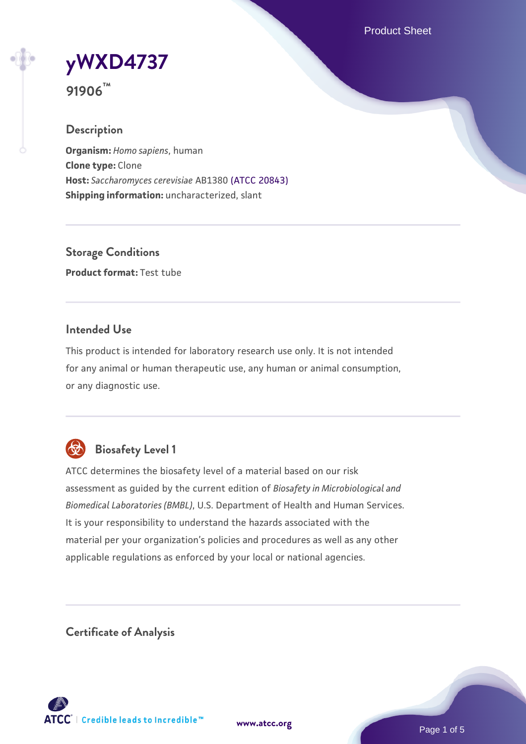Product Sheet

**[yWXD4737](https://www.atcc.org/products/91906)**

**91906™**

## **Description**

**Organism:** *Homo sapiens*, human **Clone type:** Clone **Host:** *Saccharomyces cerevisiae* AB1380 [\(ATCC 20843\)](https://www.atcc.org/products/20843) **Shipping information:** uncharacterized, slant

**Storage Conditions Product format:** Test tube

#### **Intended Use**

This product is intended for laboratory research use only. It is not intended for any animal or human therapeutic use, any human or animal consumption, or any diagnostic use.



## **Biosafety Level 1**

ATCC determines the biosafety level of a material based on our risk assessment as guided by the current edition of *Biosafety in Microbiological and Biomedical Laboratories (BMBL)*, U.S. Department of Health and Human Services. It is your responsibility to understand the hazards associated with the material per your organization's policies and procedures as well as any other applicable regulations as enforced by your local or national agencies.

**Certificate of Analysis**

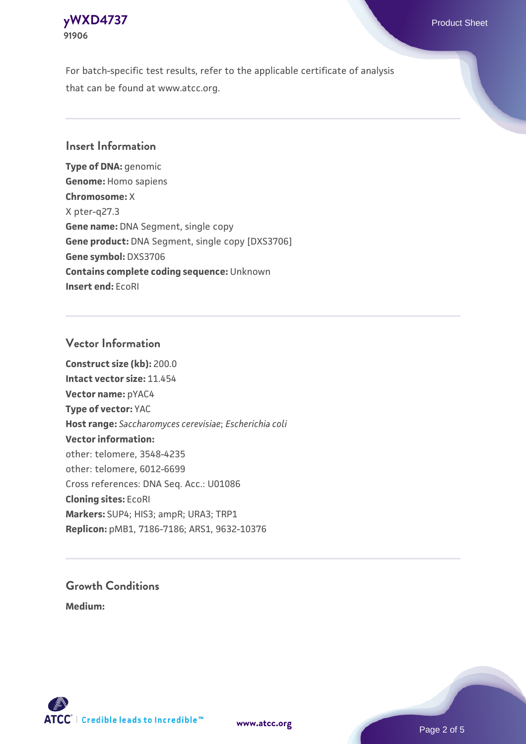

For batch-specific test results, refer to the applicable certificate of analysis that can be found at www.atcc.org.

#### **Insert Information**

**Type of DNA:** genomic **Genome:** Homo sapiens **Chromosome:** X X pter-q27.3 **Gene name:** DNA Segment, single copy **Gene product:** DNA Segment, single copy [DXS3706] **Gene symbol:** DXS3706 **Contains complete coding sequence:** Unknown **Insert end:** EcoRI

#### **Vector Information**

**Construct size (kb):** 200.0 **Intact vector size:** 11.454 **Vector name:** pYAC4 **Type of vector:** YAC **Host range:** *Saccharomyces cerevisiae*; *Escherichia coli* **Vector information:** other: telomere, 3548-4235 other: telomere, 6012-6699 Cross references: DNA Seq. Acc.: U01086 **Cloning sites:** EcoRI **Markers:** SUP4; HIS3; ampR; URA3; TRP1 **Replicon:** pMB1, 7186-7186; ARS1, 9632-10376

# **Growth Conditions**

**Medium:** 



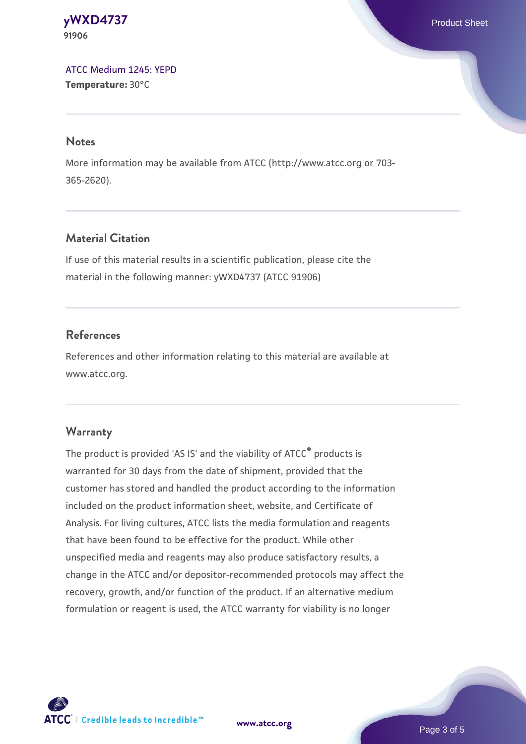**[yWXD4737](https://www.atcc.org/products/91906)** Product Sheet **91906**

[ATCC Medium 1245: YEPD](https://www.atcc.org/-/media/product-assets/documents/microbial-media-formulations/1/2/4/5/atcc-medium-1245.pdf?rev=705ca55d1b6f490a808a965d5c072196) **Temperature:** 30°C

#### **Notes**

More information may be available from ATCC (http://www.atcc.org or 703- 365-2620).

## **Material Citation**

If use of this material results in a scientific publication, please cite the material in the following manner: yWXD4737 (ATCC 91906)

#### **References**

References and other information relating to this material are available at www.atcc.org.

#### **Warranty**

The product is provided 'AS IS' and the viability of ATCC® products is warranted for 30 days from the date of shipment, provided that the customer has stored and handled the product according to the information included on the product information sheet, website, and Certificate of Analysis. For living cultures, ATCC lists the media formulation and reagents that have been found to be effective for the product. While other unspecified media and reagents may also produce satisfactory results, a change in the ATCC and/or depositor-recommended protocols may affect the recovery, growth, and/or function of the product. If an alternative medium formulation or reagent is used, the ATCC warranty for viability is no longer



**[www.atcc.org](http://www.atcc.org)**

Page 3 of 5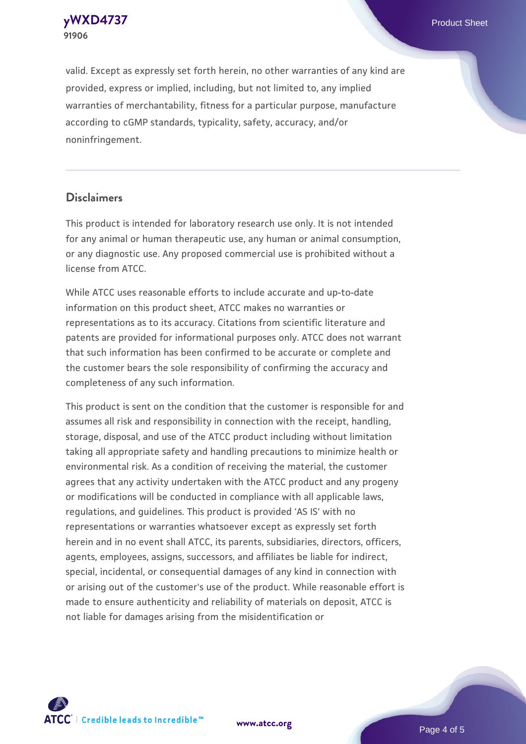**91906**

**[yWXD4737](https://www.atcc.org/products/91906)** Product Sheet

valid. Except as expressly set forth herein, no other warranties of any kind are provided, express or implied, including, but not limited to, any implied warranties of merchantability, fitness for a particular purpose, manufacture according to cGMP standards, typicality, safety, accuracy, and/or noninfringement.

#### **Disclaimers**

This product is intended for laboratory research use only. It is not intended for any animal or human therapeutic use, any human or animal consumption, or any diagnostic use. Any proposed commercial use is prohibited without a license from ATCC.

While ATCC uses reasonable efforts to include accurate and up-to-date information on this product sheet, ATCC makes no warranties or representations as to its accuracy. Citations from scientific literature and patents are provided for informational purposes only. ATCC does not warrant that such information has been confirmed to be accurate or complete and the customer bears the sole responsibility of confirming the accuracy and completeness of any such information.

This product is sent on the condition that the customer is responsible for and assumes all risk and responsibility in connection with the receipt, handling, storage, disposal, and use of the ATCC product including without limitation taking all appropriate safety and handling precautions to minimize health or environmental risk. As a condition of receiving the material, the customer agrees that any activity undertaken with the ATCC product and any progeny or modifications will be conducted in compliance with all applicable laws, regulations, and guidelines. This product is provided 'AS IS' with no representations or warranties whatsoever except as expressly set forth herein and in no event shall ATCC, its parents, subsidiaries, directors, officers, agents, employees, assigns, successors, and affiliates be liable for indirect, special, incidental, or consequential damages of any kind in connection with or arising out of the customer's use of the product. While reasonable effort is made to ensure authenticity and reliability of materials on deposit, ATCC is not liable for damages arising from the misidentification or



**[www.atcc.org](http://www.atcc.org)**

Page 4 of 5